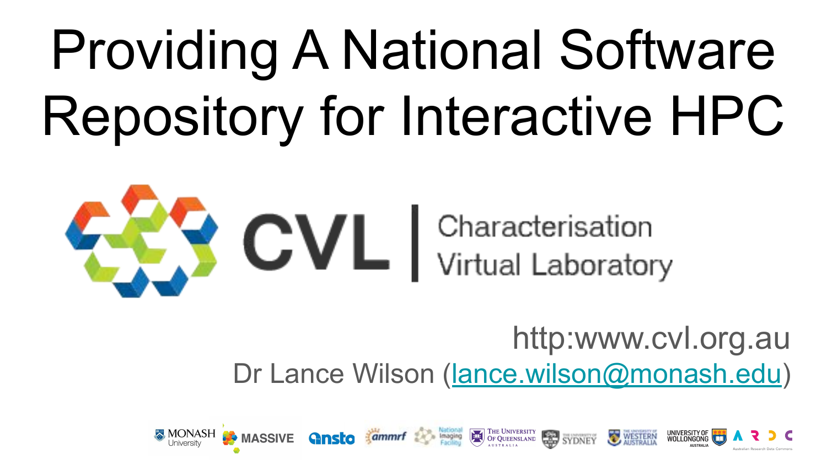# Providing A National Software Repository for Interactive HPC



### http:www.cvl.org.au Dr Lance Wilson ([lance.wilson@monash.edu\)](mailto:lance.wilson@monash.edu)

**Ginsto Commert Control Control Control Control Control Control Control Control Control Control Control Control Control Control Control Control Control Control Control Control Control Control Control Control Control Contro** 

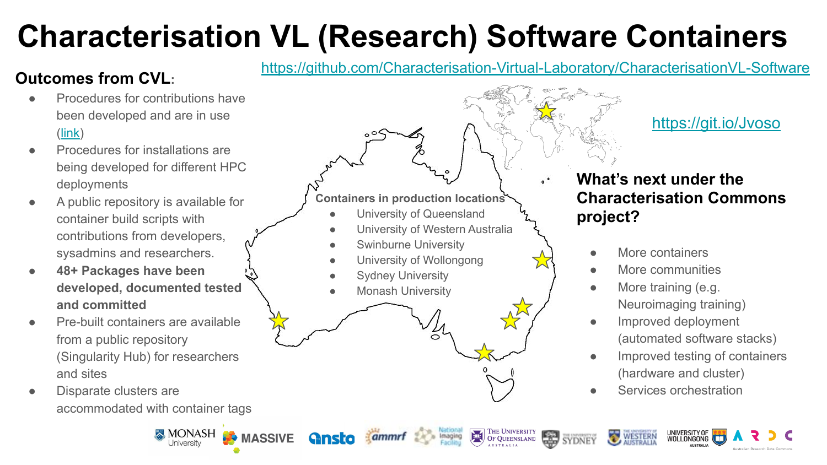# **Characterisation VL (Research) Software Containers**

### **Outcomes from CVL:**

- Procedures for contributions have been developed and are in use ([link](https://github.com/Characterisation-Virtual-Laboratory/CharacterisationVL-Software/blob/master/README.md))
- Procedures for installations are being developed for different HPC deployments
- A public repository is available for container build scripts with contributions from developers, sysadmins and researchers.
- **● 48+ Packages have been developed, documented tested and committed**
- Pre-built containers are available from a public repository (Singularity Hub) for researchers and sites
- Disparate clusters are accommodated with container tags

**MONASH** 

**BO** MASSIVE

<https://github.com/Characterisation-Virtual-Laboratory/CharacterisationVL-Software>

#### **Containers in production locations**

- University of Queensland
- **University of Western Australia**
- Swinburne University
- University of Wollongong
- **Sydney University**
- **Monash University**

<https://git.io/Jvoso>

### **What's next under the Characterisation Commons project?**

- More containers
- More communities
- More training (e.g. Neuroimaging training)
- Improved deployment (automated software stacks)
- Improved testing of containers (hardware and cluster)
- Services orchestration